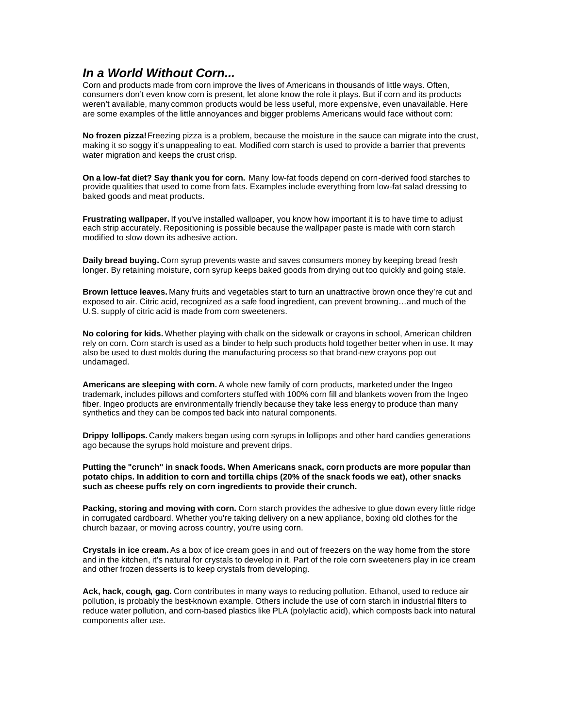## *In a World Without Corn...*

Corn and products made from corn improve the lives of Americans in thousands of little ways. Often, consumers don't even know corn is present, let alone know the role it plays. But if corn and its products weren't available, many common products would be less useful, more expensive, even unavailable. Here are some examples of the little annoyances and bigger problems Americans would face without corn:

**No frozen pizza!** Freezing pizza is a problem, because the moisture in the sauce can migrate into the crust, making it so soggy it's unappealing to eat. Modified corn starch is used to provide a barrier that prevents water migration and keeps the crust crisp.

**On a low-fat diet? Say thank you for corn.** Many low-fat foods depend on corn-derived food starches to provide qualities that used to come from fats. Examples include everything from low-fat salad dressing to baked goods and meat products.

**Frustrating wallpaper.** If you've installed wallpaper, you know how important it is to have time to adjust each strip accurately. Repositioning is possible because the wallpaper paste is made with corn starch modified to slow down its adhesive action.

**Daily bread buying.** Corn syrup prevents waste and saves consumers money by keeping bread fresh longer. By retaining moisture, corn syrup keeps baked goods from drying out too quickly and going stale.

**Brown lettuce leaves.** Many fruits and vegetables start to turn an unattractive brown once they're cut and exposed to air. Citric acid, recognized as a safe food ingredient, can prevent browning…and much of the U.S. supply of citric acid is made from corn sweeteners.

**No coloring for kids.** Whether playing with chalk on the sidewalk or crayons in school, American children rely on corn. Corn starch is used as a binder to help such products hold together better when in use. It may also be used to dust molds during the manufacturing process so that brand-new crayons pop out undamaged.

**Americans are sleeping with corn.** A whole new family of corn products, marketed under the Ingeo trademark, includes pillows and comforters stuffed with 100% corn fill and blankets woven from the Ingeo fiber. Ingeo products are environmentally friendly because they take less energy to produce than many synthetics and they can be compos ted back into natural components.

**Drippy lollipops.** Candy makers began using corn syrups in lollipops and other hard candies generations ago because the syrups hold moisture and prevent drips.

**Putting the "crunch" in snack foods. When Americans snack, corn products are more popular than potato chips. In addition to corn and tortilla chips (20% of the snack foods we eat), other snacks such as cheese puffs rely on corn ingredients to provide their crunch.**

**Packing, storing and moving with corn.** Corn starch provides the adhesive to glue down every little ridge in corrugated cardboard. Whether you're taking delivery on a new appliance, boxing old clothes for the church bazaar, or moving across country, you're using corn.

**Crystals in ice cream.** As a box of ice cream goes in and out of freezers on the way home from the store and in the kitchen, it's natural for crystals to develop in it. Part of the role corn sweeteners play in ice cream and other frozen desserts is to keep crystals from developing.

**Ack, hack, cough, gag.** Corn contributes in many ways to reducing pollution. Ethanol, used to reduce air pollution, is probably the best-known example. Others include the use of corn starch in industrial filters to reduce water pollution, and corn-based plastics like PLA (polylactic acid), which composts back into natural components after use.